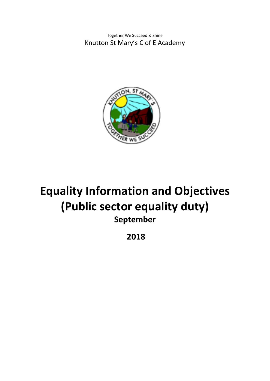Together We Succeed & Shine Knutton St Mary's C of E Academy



# **Equality Information and Objectives (Public sector equality duty) September**

**2018**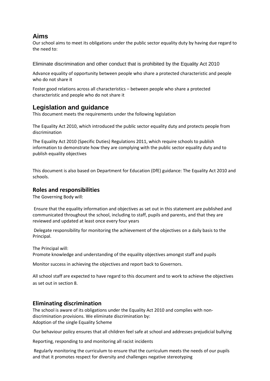# **Aims**

Our school aims to meet its obligations under the public sector equality duty by having due regard to the need to:

Eliminate discrimination and other conduct that is prohibited by the Equality Act 2010

Advance equality of opportunity between people who share a protected characteristic and people who do not share it

Foster good relations across all characteristics – between people who share a protected characteristic and people who do not share it

# **Legislation and guidance**

This document meets the requirements under the following legislation

The Equality Act 2010, which introduced the public sector equality duty and protects people from discrimination

The Equality Act 2010 (Specific Duties) Regulations 2011, which require schools to publish information to demonstrate how they are complying with the public sector equality duty and to publish equality objectives

This document is also based on Department for Education (DfE) guidance: The Equality Act 2010 and schools.

## **Roles and responsibilities**

The Governing Body will:

Ensure that the equality information and objectives as set out in this statement are published and communicated throughout the school, including to staff, pupils and parents, and that they are reviewed and updated at least once every four years

Delegate responsibility for monitoring the achievement of the objectives on a daily basis to the Principal.

The Principal will:

Promote knowledge and understanding of the equality objectives amongst staff and pupils

Monitor success in achieving the objectives and report back to Governors.

All school staff are expected to have regard to this document and to work to achieve the objectives as set out in section 8.

# **Eliminating discrimination**

The school is aware of its obligations under the Equality Act 2010 and complies with nondiscrimination provisions. We eliminate discrimination by: Adoption of the single Equality Scheme

Our behaviour policy ensures that all children feel safe at school and addresses prejudicial bullying

Reporting, responding to and monitoring all racist incidents

Regularly monitoring the curriculum to ensure that the curriculum meets the needs of our pupils and that it promotes respect for diversity and challenges negative stereotyping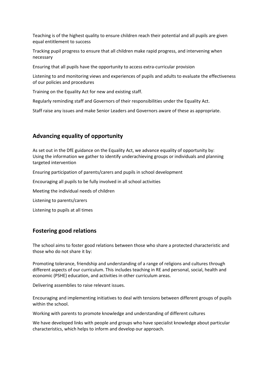Teaching is of the highest quality to ensure children reach their potential and all pupils are given equal entitlement to success

Tracking pupil progress to ensure that all children make rapid progress, and intervening when necessary

Ensuring that all pupils have the opportunity to access extra-curricular provision

Listening to and monitoring views and experiences of pupils and adults to evaluate the effectiveness of our policies and procedures

Training on the Equality Act for new and existing staff.

Regularly reminding staff and Governors of their responsibilities under the Equality Act.

Staff raise any issues and make Senior Leaders and Governors aware of these as appropriate.

# **Advancing equality of opportunity**

As set out in the DfE guidance on the Equality Act, we advance equality of opportunity by: Using the information we gather to identify underachieving groups or individuals and planning targeted intervention

Ensuring participation of parents/carers and pupils in school development

Encouraging all pupils to be fully involved in all school activities

Meeting the individual needs of children

Listening to parents/carers

Listening to pupils at all times

## **Fostering good relations**

The school aims to foster good relations between those who share a protected characteristic and those who do not share it by:

Promoting tolerance, friendship and understanding of a range of religions and cultures through different aspects of our curriculum. This includes teaching in RE and personal, social, health and economic (PSHE) education, and activities in other curriculum areas.

Delivering assemblies to raise relevant issues.

Encouraging and implementing initiatives to deal with tensions between different groups of pupils within the school.

Working with parents to promote knowledge and understanding of different cultures

We have developed links with people and groups who have specialist knowledge about particular characteristics, which helps to inform and develop our approach.